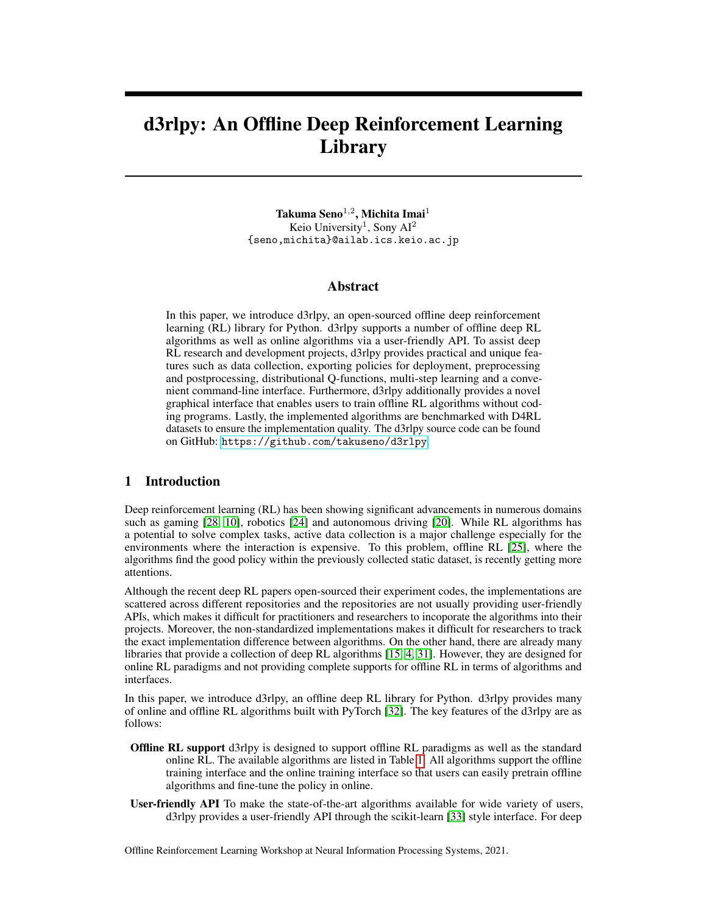# d3rlpy: An Offline Deep Reinforcement Learning Library

Takuma Seno $^{1,2}$ , Michita Imai $^1$ Keio University<sup>1</sup>, Sony AI<sup>2</sup> {seno,michita}@ailab.ics.keio.ac.jp

#### Abstract

In this paper, we introduce d3rlpy, an open-sourced offline deep reinforcement learning (RL) library for Python. d3rlpy supports a number of offline deep RL algorithms as well as online algorithms via a user-friendly API. To assist deep RL research and development projects, d3rlpy provides practical and unique features such as data collection, exporting policies for deployment, preprocessing and postprocessing, distributional Q-functions, multi-step learning and a convenient command-line interface. Furthermore, d3rlpy additionally provides a novel graphical interface that enables users to train offline RL algorithms without coding programs. Lastly, the implemented algorithms are benchmarked with D4RL datasets to ensure the implementation quality. The d3rlpy source code can be found on GitHub: <https://github.com/takuseno/d3rlpy>.

#### 1 Introduction

Deep reinforcement learning (RL) has been showing significant advancements in numerous domains such as gaming [\[28,](#page-9-0) [10\]](#page-8-0), robotics [\[24\]](#page-9-1) and autonomous driving [\[20\]](#page-9-2). While RL algorithms has a potential to solve complex tasks, active data collection is a major challenge especially for the environments where the interaction is expensive. To this problem, offline RL [\[25\]](#page-9-3), where the algorithms find the good policy within the previously collected static dataset, is recently getting more attentions.

Although the recent deep RL papers open-sourced their experiment codes, the implementations are scattered across different repositories and the repositories are not usually providing user-friendly APIs, which makes it difficult for practitioners and researchers to incoporate the algorithms into their projects. Moreover, the non-standardized implementations makes it difficult for researchers to track the exact implementation difference between algorithms. On the other hand, there are already many libraries that provide a collection of deep RL algorithms [\[15,](#page-8-1) [4,](#page-8-2) [31\]](#page-9-4). However, they are designed for online RL paradigms and not providing complete supports for offline RL in terms of algorithms and interfaces.

In this paper, we introduce d3rlpy, an offline deep RL library for Python. d3rlpy provides many of online and offline RL algorithms built with PyTorch [\[32\]](#page-9-5). The key features of the d3rlpy are as follows:

- Offline RL support d3rlpy is designed to support offline RL paradigms as well as the standard online RL. The available algorithms are listed in Table [1.](#page-1-0) All algorithms support the offline training interface and the online training interface so that users can easily pretrain offline algorithms and fine-tune the policy in online.
- User-friendly API To make the state-of-the-art algorithms available for wide variety of users, d3rlpy provides a user-friendly API through the scikit-learn [\[33\]](#page-9-6) style interface. For deep

Offline Reinforcement Learning Workshop at Neural Information Processing Systems, 2021.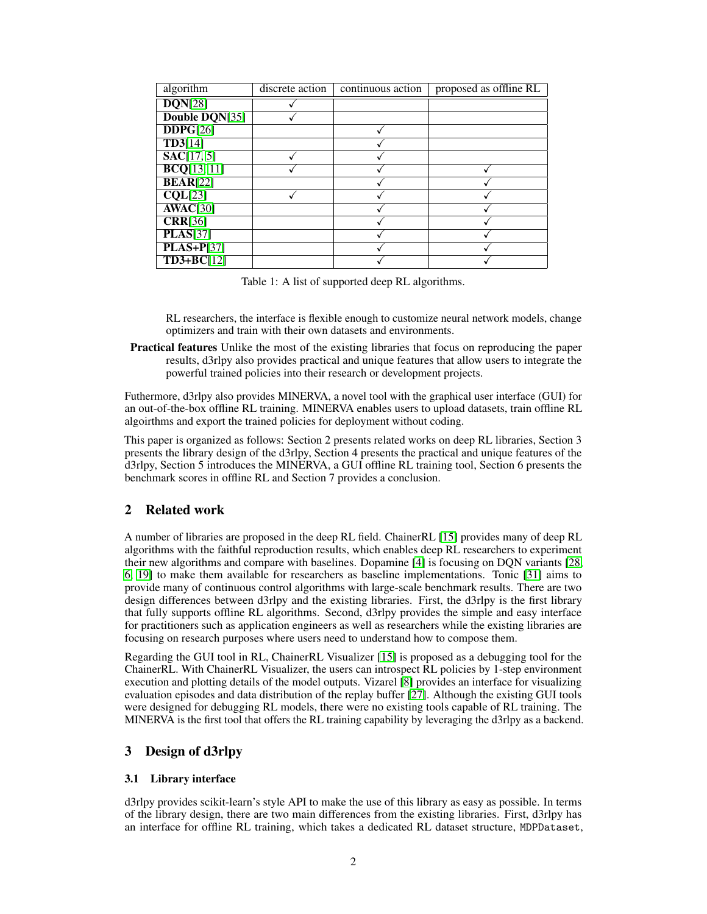| algorithm                   | discrete action | continuous action | proposed as offline RL |
|-----------------------------|-----------------|-------------------|------------------------|
| DQN[28]                     |                 |                   |                        |
| Double DQN[35]              |                 |                   |                        |
| DDPG[26]                    |                 |                   |                        |
| TD3[14]                     |                 |                   |                        |
| SAC[17, 5]                  |                 |                   |                        |
| BCQ[13, 11]                 |                 |                   |                        |
| <b>BEAR[22]</b>             |                 |                   |                        |
| $\overline{\text{CQL}[23]}$ |                 |                   |                        |
| AWAC[30]                    |                 |                   |                        |
| <b>CRR[36]</b>              |                 |                   |                        |
| <b>PLAS[37]</b>             |                 |                   |                        |
| $PLAS + P[37]$              |                 |                   |                        |
| $TD3+BC[12]$                |                 |                   |                        |

<span id="page-1-0"></span>Table 1: A list of supported deep RL algorithms.

RL researchers, the interface is flexible enough to customize neural network models, change optimizers and train with their own datasets and environments.

Practical features Unlike the most of the existing libraries that focus on reproducing the paper results, d3rlpy also provides practical and unique features that allow users to integrate the powerful trained policies into their research or development projects.

Futhermore, d3rlpy also provides MINERVA, a novel tool with the graphical user interface (GUI) for an out-of-the-box offline RL training. MINERVA enables users to upload datasets, train offline RL algoirthms and export the trained policies for deployment without coding.

This paper is organized as follows: Section 2 presents related works on deep RL libraries, Section 3 presents the library design of the d3rlpy, Section 4 presents the practical and unique features of the d3rlpy, Section 5 introduces the MINERVA, a GUI offline RL training tool, Section 6 presents the benchmark scores in offline RL and Section 7 provides a conclusion.

#### 2 Related work

A number of libraries are proposed in the deep RL field. ChainerRL [\[15\]](#page-8-1) provides many of deep RL algorithms with the faithful reproduction results, which enables deep RL researchers to experiment their new algorithms and compare with baselines. Dopamine [\[4\]](#page-8-2) is focusing on DQN variants [\[28,](#page-9-0) [6,](#page-8-9) [19\]](#page-9-14) to make them available for researchers as baseline implementations. Tonic [\[31\]](#page-9-4) aims to provide many of continuous control algorithms with large-scale benchmark results. There are two design differences between d3rlpy and the existing libraries. First, the d3rlpy is the first library that fully supports offline RL algorithms. Second, d3rlpy provides the simple and easy interface for practitioners such as application engineers as well as researchers while the existing libraries are focusing on research purposes where users need to understand how to compose them.

Regarding the GUI tool in RL, ChainerRL Visualizer [\[15\]](#page-8-1) is proposed as a debugging tool for the ChainerRL. With ChainerRL Visualizer, the users can introspect RL policies by 1-step environment execution and plotting details of the model outputs. Vizarel [\[8\]](#page-8-10) provides an interface for visualizing evaluation episodes and data distribution of the replay buffer [\[27\]](#page-9-15). Although the existing GUI tools were designed for debugging RL models, there were no existing tools capable of RL training. The MINERVA is the first tool that offers the RL training capability by leveraging the d3rlpy as a backend.

#### 3 Design of d3rlpy

#### 3.1 Library interface

d3rlpy provides scikit-learn's style API to make the use of this library as easy as possible. In terms of the library design, there are two main differences from the existing libraries. First, d3rlpy has an interface for offline RL training, which takes a dedicated RL dataset structure, MDPDataset,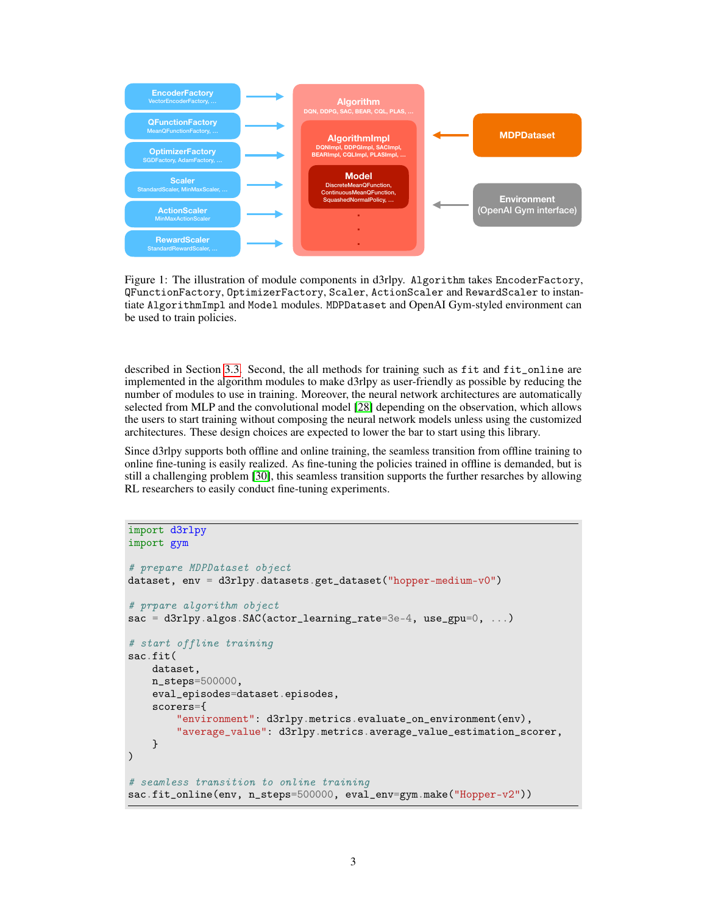

<span id="page-2-0"></span>Figure 1: The illustration of module components in d3rlpy. Algorithm takes EncoderFactory, QFunctionFactory, OptimizerFactory, Scaler, ActionScaler and RewardScaler to instantiate AlgorithmImpl and Model modules. MDPDataset and OpenAI Gym-styled environment can be used to train policies.

described in Section [3.3.](#page-3-0) Second, the all methods for training such as fit and fit\_online are implemented in the algorithm modules to make d3rlpy as user-friendly as possible by reducing the number of modules to use in training. Moreover, the neural network architectures are automatically selected from MLP and the convolutional model [\[28\]](#page-9-0) depending on the observation, which allows the users to start training without composing the neural network models unless using the customized architectures. These design choices are expected to lower the bar to start using this library.

Since d3rlpy supports both offline and online training, the seamless transition from offline training to online fine-tuning is easily realized. As fine-tuning the policies trained in offline is demanded, but is still a challenging problem [\[30\]](#page-9-11), this seamless transition supports the further resarches by allowing RL researchers to easily conduct fine-tuning experiments.

```
import d3rlpy
import gym
# prepare MDPDataset object
dataset, env = d3rlpy.datasets.get_dataset("hopper-medium-v0")
# prpare algorithm object
sac = d3r1py.algos.SAC(actor_learning_rate=3e-4, use\_gpu=0, ...)# start offline training
sac.fit(
   dataset,
   n_steps=500000,
    eval_episodes=dataset.episodes,
    scorers={
        "environment": d3rlpy.metrics.evaluate_on_environment(env),
        "average_value": d3rlpy.metrics.average_value_estimation_scorer,
   }
)
# seamless transition to online training
sac.fit_online(env, n_steps=500000, eval_env=gym.make("Hopper-v2"))
```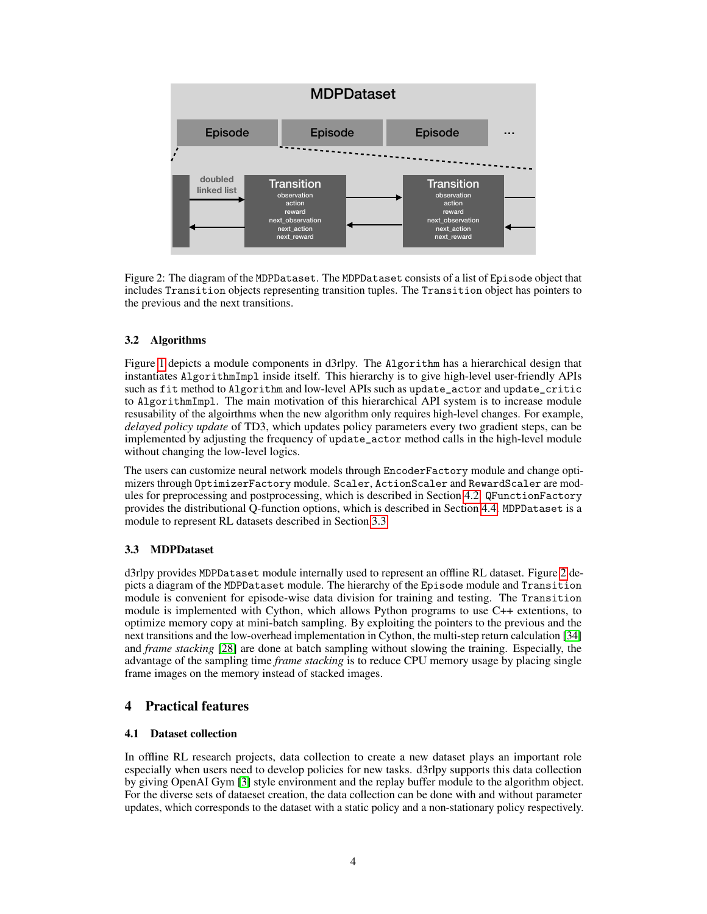

<span id="page-3-1"></span>Figure 2: The diagram of the MDPDataset. The MDPDataset consists of a list of Episode object that includes Transition objects representing transition tuples. The Transition object has pointers to the previous and the next transitions.

#### 3.2 Algorithms

Figure [1](#page-2-0) depicts a module components in d3rlpy. The Algorithm has a hierarchical design that instantiates AlgorithmImpl inside itself. This hierarchy is to give high-level user-friendly APIs such as fit method to Algorithm and low-level APIs such as update\_actor and update\_critic to AlgorithmImpl. The main motivation of this hierarchical API system is to increase module resusability of the algoirthms when the new algorithm only requires high-level changes. For example, *delayed policy update* of TD3, which updates policy parameters every two gradient steps, can be implemented by adjusting the frequency of update\_actor method calls in the high-level module without changing the low-level logics.

The users can customize neural network models through EncoderFactory module and change optimizers through OptimizerFactory module. Scaler, ActionScaler and RewardScaler are modules for preprocessing and postprocessing, which is described in Section [4.2.](#page-4-0) QFunctionFactory provides the distributional Q-function options, which is described in Section [4.4.](#page-4-1) MDPDataset is a module to represent RL datasets described in Section [3.3.](#page-3-0)

## <span id="page-3-0"></span>3.3 MDPDataset

d3rlpy provides MDPDataset module internally used to represent an offline RL dataset. Figure [2](#page-3-1) depicts a diagram of the MDPDataset module. The hierarchy of the Episode module and Transition module is convenient for episode-wise data division for training and testing. The Transition module is implemented with Cython, which allows Python programs to use C++ extentions, to optimize memory copy at mini-batch sampling. By exploiting the pointers to the previous and the next transitions and the low-overhead implementation in Cython, the multi-step return calculation [\[34\]](#page-9-16) and *frame stacking* [\[28\]](#page-9-0) are done at batch sampling without slowing the training. Especially, the advantage of the sampling time *frame stacking* is to reduce CPU memory usage by placing single frame images on the memory instead of stacked images.

## 4 Practical features

#### 4.1 Dataset collection

In offline RL research projects, data collection to create a new dataset plays an important role especially when users need to develop policies for new tasks. d3rlpy supports this data collection by giving OpenAI Gym [\[3\]](#page-8-11) style environment and the replay buffer module to the algorithm object. For the diverse sets of dataeset creation, the data collection can be done with and without parameter updates, which corresponds to the dataset with a static policy and a non-stationary policy respectively.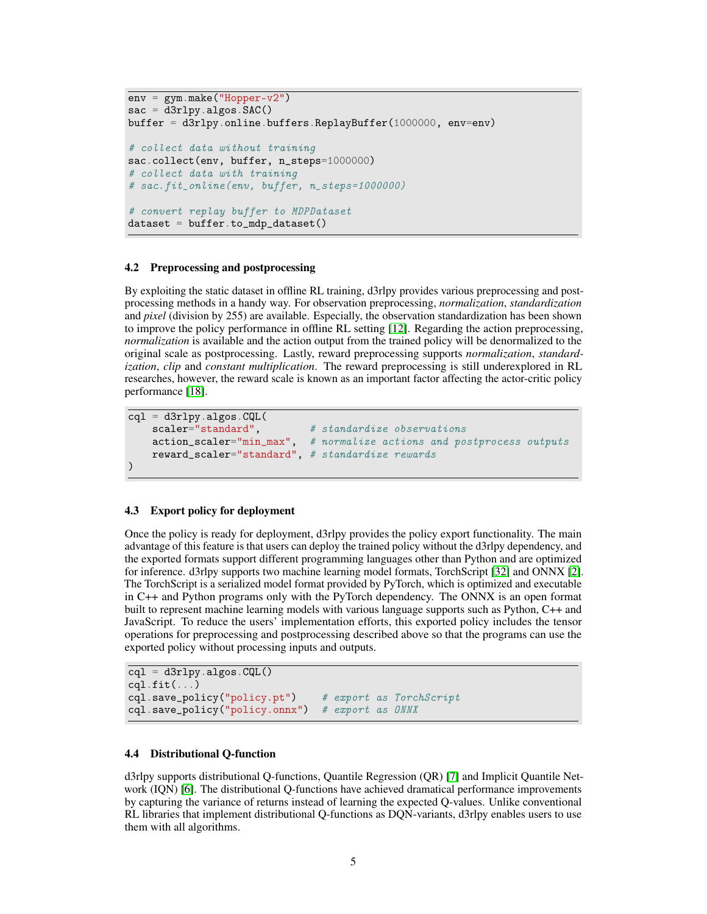```
env = gym.make("Hopper-v2")
sac = d3r1py.algos.SAC()buffer = d3rlpy.online.buffers.ReplayBuffer(1000000, env=env)
# collect data without training
sac.collect(env, buffer, n_steps=1000000)
# collect data with training
# sac.fit_online(env, buffer, n_steps=1000000)
# convert replay buffer to MDPDataset
dataset = buffer.to_mdp_dataset()
```
#### <span id="page-4-0"></span>4.2 Preprocessing and postprocessing

By exploiting the static dataset in offline RL training, d3rlpy provides various preprocessing and postprocessing methods in a handy way. For observation preprocessing, *normalization*, *standardization* and *pixel* (division by 255) are available. Especially, the observation standardization has been shown to improve the policy performance in offline RL setting [\[12\]](#page-8-8). Regarding the action preprocessing, *normalization* is available and the action output from the trained policy will be denormalized to the original scale as postprocessing. Lastly, reward preprocessing supports *normalization*, *standardization*, *clip* and *constant multiplication*. The reward preprocessing is still underexplored in RL researches, however, the reward scale is known as an important factor affecting the actor-critic policy performance [\[18\]](#page-9-17).

```
cql = d3rlpy.algos.CQL(scaler="standard", # standardize observations
   action_scaler="min_max", # normalize actions and postprocess outputs
   reward_scaler="standard", # standardize rewards
)
```
#### <span id="page-4-2"></span>4.3 Export policy for deployment

Once the policy is ready for deployment, d3rlpy provides the policy export functionality. The main advantage of this feature is that users can deploy the trained policy without the d3rlpy dependency, and the exported formats support different programming languages other than Python and are optimized for inference. d3rlpy supports two machine learning model formats, TorchScript [\[32\]](#page-9-5) and ONNX [\[2\]](#page-8-12). The TorchScript is a serialized model format provided by PyTorch, which is optimized and executable in C++ and Python programs only with the PyTorch dependency. The ONNX is an open format built to represent machine learning models with various language supports such as Python, C++ and JavaScript. To reduce the users' implementation efforts, this exported policy includes the tensor operations for preprocessing and postprocessing described above so that the programs can use the exported policy without processing inputs and outputs.

 $\overline{cql}$  = d3rlpy.algos. $CQL()$  $cql.fit(\ldots)$ cql.save\_policy("policy.pt") # export as TorchScript cql.save\_policy("policy.onnx") # export as ONNX

#### <span id="page-4-1"></span>4.4 Distributional Q-function

d3rlpy supports distributional Q-functions, Quantile Regression (QR) [\[7\]](#page-8-13) and Implicit Quantile Network (IQN) [\[6\]](#page-8-9). The distributional Q-functions have achieved dramatical performance improvements by capturing the variance of returns instead of learning the expected Q-values. Unlike conventional RL libraries that implement distributional Q-functions as DQN-variants, d3rlpy enables users to use them with all algorithms.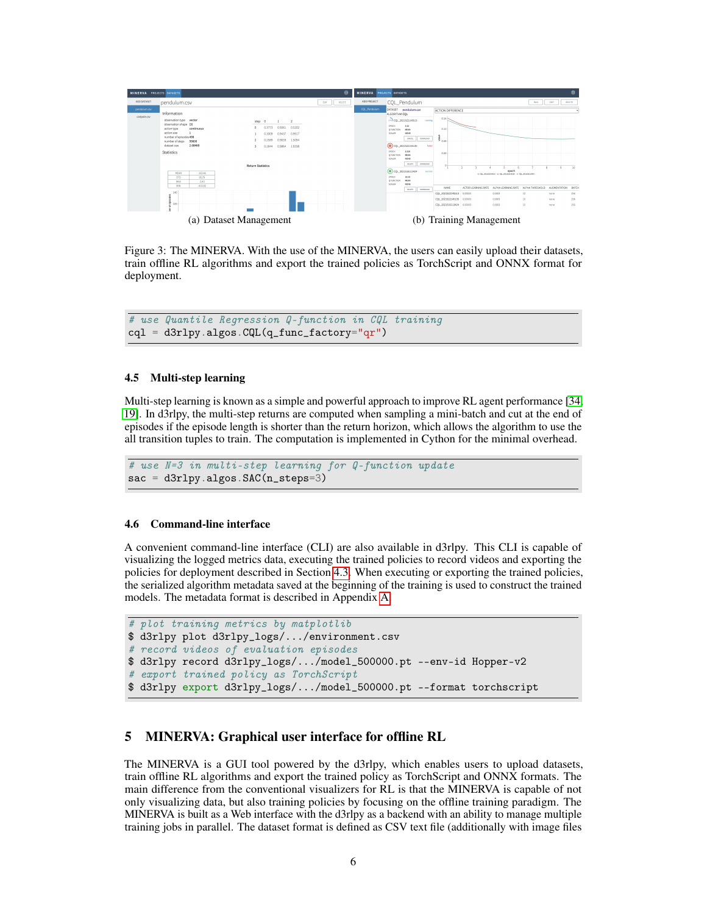<span id="page-5-1"></span>

<span id="page-5-2"></span><span id="page-5-0"></span>Figure 3: The MINERVA. With the use of the MINERVA, the users can easily upload their datasets, train offline RL algorithms and export the trained policies as TorchScript and ONNX format for deployment.

# use Quantile Regression Q-function in CQL training  $\text{cql} = \text{d3rly-algos}. \text{CQL}(q\_func\_factor = "qr")$ 

#### <span id="page-5-3"></span>4.5 Multi-step learning

Multi-step learning is known as a simple and powerful approach to improve RL agent performance [\[34,](#page-9-16) [19\]](#page-9-14). In d3rlpy, the multi-step returns are computed when sampling a mini-batch and cut at the end of episodes if the episode length is shorter than the return horizon, which allows the algorithm to use the all transition tuples to train. The computation is implemented in Cython for the minimal overhead.

```
# use N=3 in multi-step learning for Q-function update
sac = d3r1py.algos.SAC(n_steps=3)
```
#### 4.6 Command-line interface

A convenient command-line interface (CLI) are also available in d3rlpy. This CLI is capable of visualizing the logged metrics data, executing the trained policies to record videos and exporting the policies for deployment described in Section [4.3.](#page-4-2) When executing or exporting the trained policies, the serialized algorithm metadata saved at the beginning of the training is used to construct the trained models. The metadata format is described in Appendix [A.](#page-10-0)

```
# plot training metrics by matplotlib
$ d3rlpy plot d3rlpy_logs/.../environment.csv
# record videos of evaluation episodes
$ d3rlpy record d3rlpy_logs/.../model_500000.pt --env-id Hopper-v2
# export trained policy as TorchScript
$ d3rlpy export d3rlpy_logs/.../model_500000.pt --format torchscript
```
#### 5 MINERVA: Graphical user interface for offline RL

The MINERVA is a GUI tool powered by the d3rlpy, which enables users to upload datasets, train offline RL algorithms and export the trained policy as TorchScript and ONNX formats. The main difference from the conventional visualizers for RL is that the MINERVA is capable of not only visualizing data, but also training policies by focusing on the offline training paradigm. The MINERVA is built as a Web interface with the d3rlpy as a backend with an ability to manage multiple training jobs in parallel. The dataset format is defined as CSV text file (additionally with image files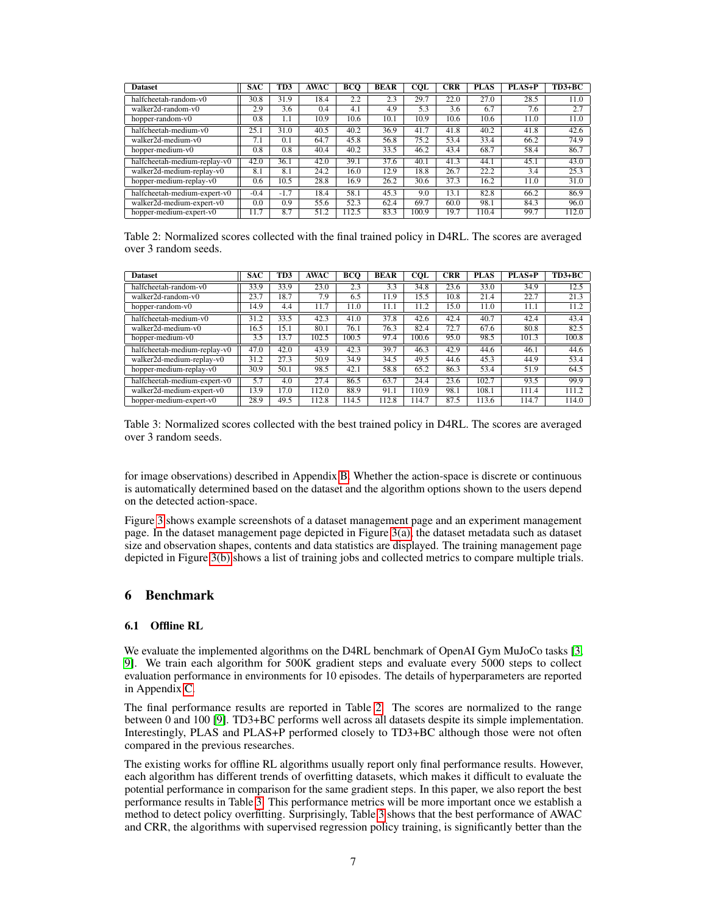| <b>Dataset</b>               | <b>SAC</b> | TD3    | <b>AWAC</b>       | BCO   | <b>BEAR</b> | <b>COL</b> | <b>CRR</b> | <b>PLAS</b> | PLAS+P | $TD3+BC$ |
|------------------------------|------------|--------|-------------------|-------|-------------|------------|------------|-------------|--------|----------|
| halfcheetah-random-v0        | 30.8       | 31.9   | 18.4              | 2.2   | 2.3         | 29.7       | 22.0       | 27.0        | 28.5   | 11.0     |
| walker2d-random-v0           | 2.9        | 3.6    | 0.4               | 4.1   | 4.9         | 5.3        | 3.6        | 6.7         | 7.6    | 2.7      |
| hopper-random-v0             | 0.8        | 1.1    | 10.9              | 10.6  | 10.1        | 10.9       | 10.6       | 10.6        | 11.0   | 11.0     |
| halfcheetah-medium-v0        | 25.1       | 31.0   | 40.5              | 40.2  | 36.9        | 41.7       | 41.8       | 40.2        | 41.8   | 42.6     |
| walker2d-medium-y0           | 7.1        | 0.1    | 64.7              | 45.8  | 56.8        | 75.2       | 53.4       | 33.4        | 66.2   | 74.9     |
| hopper-medium-v0             | 0.8        | 0.8    | $\overline{40.4}$ | 40.2  | 33.5        | 46.2       | 43.4       | 68.7        | 58.4   | 86.7     |
| halfcheetah-medium-replay-v0 | 42.0       | 36.1   | 42.0              | 39.1  | 37.6        | 40.1       | 41.3       | 44.1        | 45.1   | 43.0     |
| walker2d-medium-replay-v0    | 8.1        | 8.1    | 24.2              | 16.0  | 12.9        | 18.8       | 26.7       | 22.2        | 3.4    | 25.3     |
| hopper-medium-replay-v0      | 0.6        | 10.5   | 28.8              | 16.9  | 26.2        | 30.6       | 37.3       | 16.2        | 11.0   | 31.0     |
| halfcheetah-medium-expert-v0 | $-0.4$     | $-1.7$ | 18.4              | 58.1  | 45.3        | 9.0        | 13.1       | 82.8        | 66.2   | 86.9     |
| walker2d-medium-expert-v0    | 0.0        | 0.9    | 55.6              | 52.3  | 62.4        | 69.7       | 60.0       | 98.1        | 84.3   | 96.0     |
| hopper-medium-expert-v0      | 11.7       | 8.7    | 51.2              | 112.5 | 83.3        | 100.9      | 19.7       | 110.4       | 99.7   | 112.0    |

<span id="page-6-0"></span>Table 2: Normalized scores collected with the final trained policy in D4RL. The scores are averaged over 3 random seeds.

| <b>Dataset</b>               | <b>SAC</b> | TD3  | <b>AWAC</b> | <b>BCO</b> | <b>BEAR</b> | <b>COL</b> | <b>CRR</b> | <b>PLAS</b>       | $PLAS+P$ | $TD3+BC$ |
|------------------------------|------------|------|-------------|------------|-------------|------------|------------|-------------------|----------|----------|
| halfcheetah-random-y0        | 33.9       | 33.9 | 23.0        | 2.3        | 3.3         | 34.8       | 23.6       | 33.0              | 34.9     | 12.5     |
| walker2d-random-y0           | 23.7       | 18.7 | 7.9         | 6.5        | 11.9        | 15.5       | 10.8       | 21.4              | 22.7     | 21.3     |
| hopper-random-v0             | 14.9       | 4.4  | 11.7        | 11.0       | 11.1        | 11.2       | 15.0       | 11.0              | 11.1     | 11.2     |
| halfcheetah-medium-v0        | 31.2       | 33.5 | 42.3        | 41.0       | 37.8        | 42.6       | 42.4       | $\overline{40.7}$ | 42.4     | 43.4     |
| walker2d-medium-y0           | 16.5       | 15.1 | 80.1        | 76.1       | 76.3        | 82.4       | 72.7       | 67.6              | 80.8     | 82.5     |
| hopper-medium-v0             | 3.5        | 13.7 | 102.5       | 100.5      | 97.4        | 100.6      | 95.0       | 98.5              | 101.3    | 100.8    |
| halfcheetah-medium-replay-v0 | 47.0       | 42.0 | 43.9        | 42.3       | 39.7        | 46.3       | 42.9       | 44.6              | 46.1     | 44.6     |
| walker2d-medium-replay-v0    | 31.2       | 27.3 | 50.9        | 34.9       | 34.5        | 49.5       | 44.6       | 45.3              | 44.9     | 53.4     |
| hopper-medium-replay-v0      | 30.9       | 50.1 | 98.5        | 42.1       | 58.8        | 65.2       | 86.3       | 53.4              | 51.9     | 64.5     |
| halfcheetah-medium-expert-v0 | 5.7        | 4.0  | 27.4        | 86.5       | 63.7        | 24.4       | 23.6       | 102.7             | 93.5     | 99.9     |
| walker2d-medium-expert-v0    | 13.9       | 17.0 | 112.0       | 88.9       | 91.1        | 110.9      | 98.1       | 108.1             | 111.4    | 111.2    |
| hopper-medium-expert-y0      | 28.9       | 49.5 | 112.8       | 114.5      | 112.8       | 114.7      | 87.5       | 113.6             | 114.7    | 114.0    |

<span id="page-6-1"></span>Table 3: Normalized scores collected with the best trained policy in D4RL. The scores are averaged over 3 random seeds.

for image observations) described in Appendix [B.](#page-11-0) Whether the action-space is discrete or continuous is automatically determined based on the dataset and the algorithm options shown to the users depend on the detected action-space.

Figure [3](#page-5-0) shows example screenshots of a dataset management page and an experiment management page. In the dataset management page depicted in Figure [3\(a\),](#page-5-1) the dataset metadata such as dataset size and observation shapes, contents and data statistics are displayed. The training management page depicted in Figure [3\(b\)](#page-5-2) shows a list of training jobs and collected metrics to compare multiple trials.

#### 6 Benchmark

#### 6.1 Offline RL

We evaluate the implemented algorithms on the D4RL benchmark of OpenAI Gym MuJoCo tasks [\[3,](#page-8-11) [9\]](#page-8-14). We train each algorithm for 500K gradient steps and evaluate every 5000 steps to collect evaluation performance in environments for 10 episodes. The details of hyperparameters are reported in Appendix [C.](#page-11-1)

The final performance results are reported in Table [2.](#page-6-0) The scores are normalized to the range between 0 and 100 [\[9\]](#page-8-14). TD3+BC performs well across all datasets despite its simple implementation. Interestingly, PLAS and PLAS+P performed closely to TD3+BC although those were not often compared in the previous researches.

The existing works for offline RL algorithms usually report only final performance results. However, each algorithm has different trends of overfitting datasets, which makes it difficult to evaluate the potential performance in comparison for the same gradient steps. In this paper, we also report the best performance results in Table [3.](#page-6-1) This performance metrics will be more important once we establish a method to detect policy overfitting. Surprisingly, Table [3](#page-6-1) shows that the best performance of AWAC and CRR, the algorithms with supervised regression policy training, is significantly better than the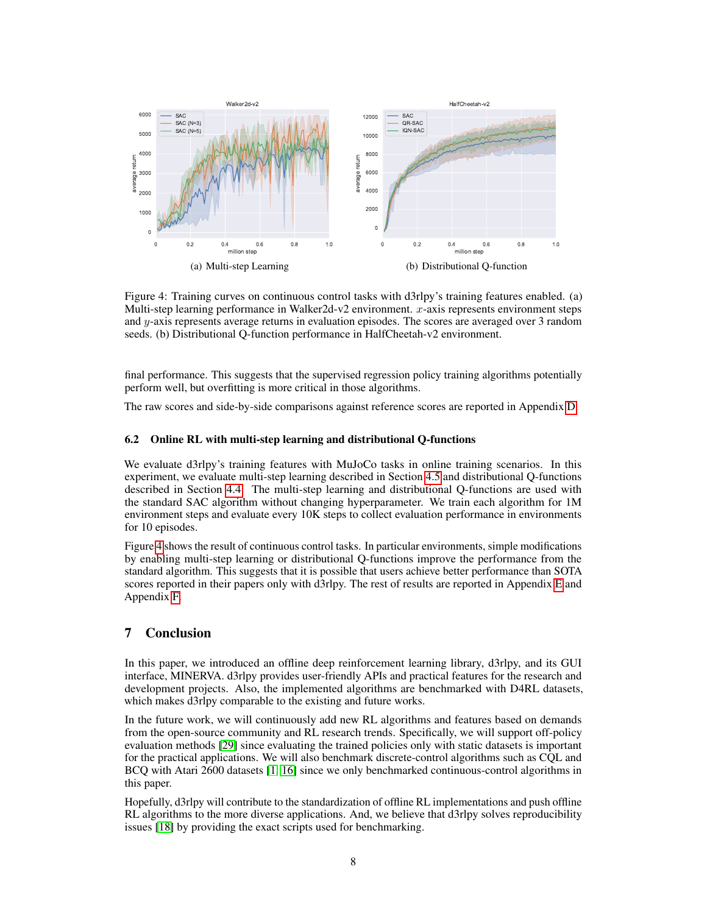

<span id="page-7-0"></span>Figure 4: Training curves on continuous control tasks with d3rlpy's training features enabled. (a) Multi-step learning performance in Walker2d-v2 environment. x-axis represents environment steps and y-axis represents average returns in evaluation episodes. The scores are averaged over 3 random seeds. (b) Distributional Q-function performance in HalfCheetah-v2 environment.

final performance. This suggests that the supervised regression policy training algorithms potentially perform well, but overfitting is more critical in those algorithms.

The raw scores and side-by-side comparisons against reference scores are reported in Appendix [D.](#page-13-0)

#### 6.2 Online RL with multi-step learning and distributional Q-functions

We evaluate d3rlpy's training features with MuJoCo tasks in online training scenarios. In this experiment, we evaluate multi-step learning described in Section [4.5](#page-5-3) and distributional Q-functions described in Section [4.4.](#page-4-1) The multi-step learning and distributional Q-functions are used with the standard SAC algorithm without changing hyperparameter. We train each algorithm for 1M environment steps and evaluate every 10K steps to collect evaluation performance in environments for 10 episodes.

Figure [4](#page-7-0) shows the result of continuous control tasks. In particular environments, simple modifications by enabling multi-step learning or distributional Q-functions improve the performance from the standard algorithm. This suggests that it is possible that users achieve better performance than SOTA scores reported in their papers only with d3rlpy. The rest of results are reported in Appendix [E](#page-15-0) and Appendix [F.](#page-15-1)

#### 7 Conclusion

In this paper, we introduced an offline deep reinforcement learning library, d3rlpy, and its GUI interface, MINERVA. d3rlpy provides user-friendly APIs and practical features for the research and development projects. Also, the implemented algorithms are benchmarked with D4RL datasets, which makes d3rlpy comparable to the existing and future works.

In the future work, we will continuously add new RL algorithms and features based on demands from the open-source community and RL research trends. Specifically, we will support off-policy evaluation methods [\[29\]](#page-9-18) since evaluating the trained policies only with static datasets is important for the practical applications. We will also benchmark discrete-control algorithms such as CQL and BCQ with Atari 2600 datasets [\[1,](#page-8-15) [16\]](#page-8-16) since we only benchmarked continuous-control algorithms in this paper.

Hopefully, d3rlpy will contribute to the standardization of offline RL implementations and push offline RL algorithms to the more diverse applications. And, we believe that d3rlpy solves reproducibility issues [\[18\]](#page-9-17) by providing the exact scripts used for benchmarking.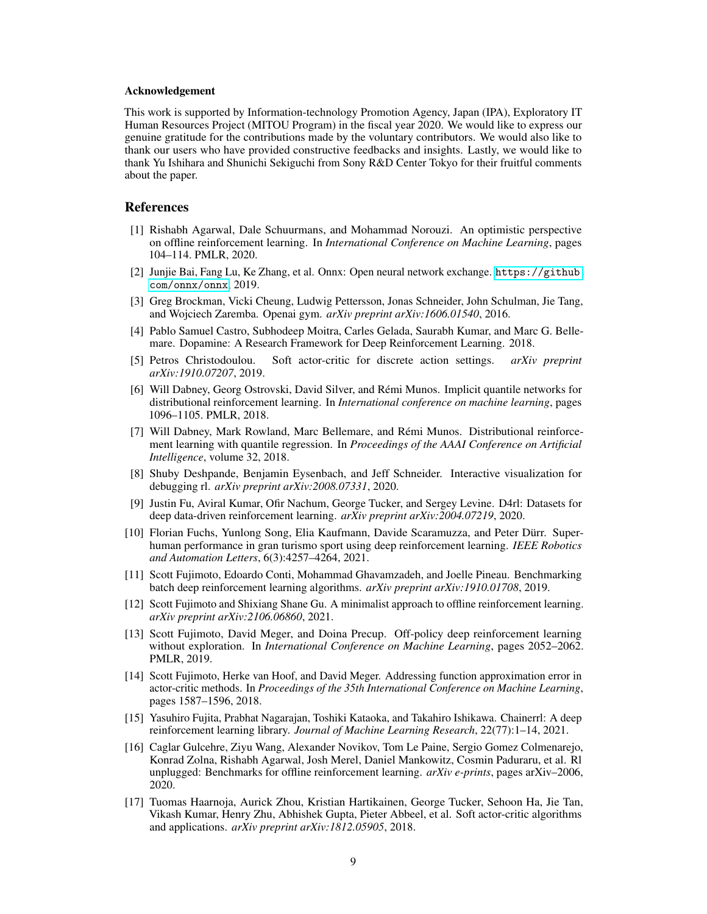#### Acknowledgement

This work is supported by Information-technology Promotion Agency, Japan (IPA), Exploratory IT Human Resources Project (MITOU Program) in the fiscal year 2020. We would like to express our genuine gratitude for the contributions made by the voluntary contributors. We would also like to thank our users who have provided constructive feedbacks and insights. Lastly, we would like to thank Yu Ishihara and Shunichi Sekiguchi from Sony R&D Center Tokyo for their fruitful comments about the paper.

#### References

- <span id="page-8-15"></span>[1] Rishabh Agarwal, Dale Schuurmans, and Mohammad Norouzi. An optimistic perspective on offline reinforcement learning. In *International Conference on Machine Learning*, pages 104–114. PMLR, 2020.
- <span id="page-8-12"></span>[2] Junjie Bai, Fang Lu, Ke Zhang, et al. Onnx: Open neural network exchange. [https://github.](https://github.com/onnx/onnx) [com/onnx/onnx](https://github.com/onnx/onnx), 2019.
- <span id="page-8-11"></span>[3] Greg Brockman, Vicki Cheung, Ludwig Pettersson, Jonas Schneider, John Schulman, Jie Tang, and Wojciech Zaremba. Openai gym. *arXiv preprint arXiv:1606.01540*, 2016.
- <span id="page-8-2"></span>[4] Pablo Samuel Castro, Subhodeep Moitra, Carles Gelada, Saurabh Kumar, and Marc G. Bellemare. Dopamine: A Research Framework for Deep Reinforcement Learning. 2018.
- <span id="page-8-5"></span>[5] Petros Christodoulou. Soft actor-critic for discrete action settings. *arXiv preprint arXiv:1910.07207*, 2019.
- <span id="page-8-9"></span>[6] Will Dabney, Georg Ostrovski, David Silver, and Rémi Munos. Implicit quantile networks for distributional reinforcement learning. In *International conference on machine learning*, pages 1096–1105. PMLR, 2018.
- <span id="page-8-13"></span>[7] Will Dabney, Mark Rowland, Marc Bellemare, and Rémi Munos. Distributional reinforcement learning with quantile regression. In *Proceedings of the AAAI Conference on Artificial Intelligence*, volume 32, 2018.
- <span id="page-8-10"></span>[8] Shuby Deshpande, Benjamin Eysenbach, and Jeff Schneider. Interactive visualization for debugging rl. *arXiv preprint arXiv:2008.07331*, 2020.
- <span id="page-8-14"></span>[9] Justin Fu, Aviral Kumar, Ofir Nachum, George Tucker, and Sergey Levine. D4rl: Datasets for deep data-driven reinforcement learning. *arXiv preprint arXiv:2004.07219*, 2020.
- <span id="page-8-0"></span>[10] Florian Fuchs, Yunlong Song, Elia Kaufmann, Davide Scaramuzza, and Peter Dürr. Superhuman performance in gran turismo sport using deep reinforcement learning. *IEEE Robotics and Automation Letters*, 6(3):4257–4264, 2021.
- <span id="page-8-7"></span>[11] Scott Fujimoto, Edoardo Conti, Mohammad Ghavamzadeh, and Joelle Pineau. Benchmarking batch deep reinforcement learning algorithms. *arXiv preprint arXiv:1910.01708*, 2019.
- <span id="page-8-8"></span>[12] Scott Fujimoto and Shixiang Shane Gu. A minimalist approach to offline reinforcement learning. *arXiv preprint arXiv:2106.06860*, 2021.
- <span id="page-8-6"></span>[13] Scott Fujimoto, David Meger, and Doina Precup. Off-policy deep reinforcement learning without exploration. In *International Conference on Machine Learning*, pages 2052–2062. PMLR, 2019.
- <span id="page-8-3"></span>[14] Scott Fujimoto, Herke van Hoof, and David Meger. Addressing function approximation error in actor-critic methods. In *Proceedings of the 35th International Conference on Machine Learning*, pages 1587–1596, 2018.
- <span id="page-8-1"></span>[15] Yasuhiro Fujita, Prabhat Nagarajan, Toshiki Kataoka, and Takahiro Ishikawa. Chainerrl: A deep reinforcement learning library. *Journal of Machine Learning Research*, 22(77):1–14, 2021.
- <span id="page-8-16"></span>[16] Caglar Gulcehre, Ziyu Wang, Alexander Novikov, Tom Le Paine, Sergio Gomez Colmenarejo, Konrad Zolna, Rishabh Agarwal, Josh Merel, Daniel Mankowitz, Cosmin Paduraru, et al. Rl unplugged: Benchmarks for offline reinforcement learning. *arXiv e-prints*, pages arXiv–2006, 2020.
- <span id="page-8-4"></span>[17] Tuomas Haarnoja, Aurick Zhou, Kristian Hartikainen, George Tucker, Sehoon Ha, Jie Tan, Vikash Kumar, Henry Zhu, Abhishek Gupta, Pieter Abbeel, et al. Soft actor-critic algorithms and applications. *arXiv preprint arXiv:1812.05905*, 2018.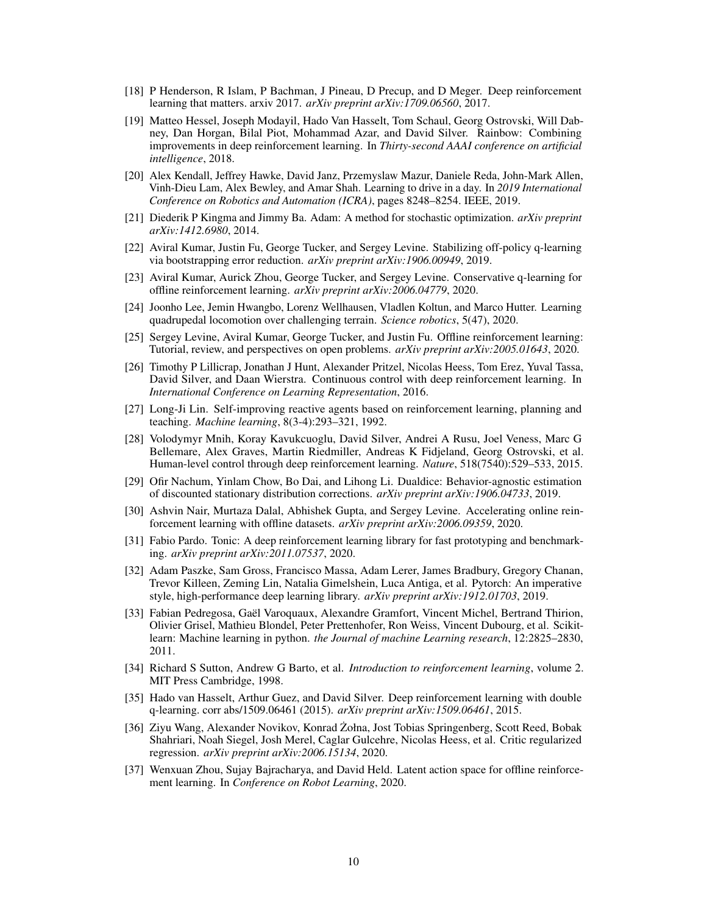- <span id="page-9-17"></span>[18] P Henderson, R Islam, P Bachman, J Pineau, D Precup, and D Meger. Deep reinforcement learning that matters. arxiv 2017. *arXiv preprint arXiv:1709.06560*, 2017.
- <span id="page-9-14"></span>[19] Matteo Hessel, Joseph Modayil, Hado Van Hasselt, Tom Schaul, Georg Ostrovski, Will Dabney, Dan Horgan, Bilal Piot, Mohammad Azar, and David Silver. Rainbow: Combining improvements in deep reinforcement learning. In *Thirty-second AAAI conference on artificial intelligence*, 2018.
- <span id="page-9-2"></span>[20] Alex Kendall, Jeffrey Hawke, David Janz, Przemyslaw Mazur, Daniele Reda, John-Mark Allen, Vinh-Dieu Lam, Alex Bewley, and Amar Shah. Learning to drive in a day. In *2019 International Conference on Robotics and Automation (ICRA)*, pages 8248–8254. IEEE, 2019.
- <span id="page-9-19"></span>[21] Diederik P Kingma and Jimmy Ba. Adam: A method for stochastic optimization. *arXiv preprint arXiv:1412.6980*, 2014.
- <span id="page-9-9"></span>[22] Aviral Kumar, Justin Fu, George Tucker, and Sergey Levine. Stabilizing off-policy q-learning via bootstrapping error reduction. *arXiv preprint arXiv:1906.00949*, 2019.
- <span id="page-9-10"></span>[23] Aviral Kumar, Aurick Zhou, George Tucker, and Sergey Levine. Conservative q-learning for offline reinforcement learning. *arXiv preprint arXiv:2006.04779*, 2020.
- <span id="page-9-1"></span>[24] Joonho Lee, Jemin Hwangbo, Lorenz Wellhausen, Vladlen Koltun, and Marco Hutter. Learning quadrupedal locomotion over challenging terrain. *Science robotics*, 5(47), 2020.
- <span id="page-9-3"></span>[25] Sergey Levine, Aviral Kumar, George Tucker, and Justin Fu. Offline reinforcement learning: Tutorial, review, and perspectives on open problems. *arXiv preprint arXiv:2005.01643*, 2020.
- <span id="page-9-8"></span>[26] Timothy P Lillicrap, Jonathan J Hunt, Alexander Pritzel, Nicolas Heess, Tom Erez, Yuval Tassa, David Silver, and Daan Wierstra. Continuous control with deep reinforcement learning. In *International Conference on Learning Representation*, 2016.
- <span id="page-9-15"></span>[27] Long-Ji Lin. Self-improving reactive agents based on reinforcement learning, planning and teaching. *Machine learning*, 8(3-4):293–321, 1992.
- <span id="page-9-0"></span>[28] Volodymyr Mnih, Koray Kavukcuoglu, David Silver, Andrei A Rusu, Joel Veness, Marc G Bellemare, Alex Graves, Martin Riedmiller, Andreas K Fidjeland, Georg Ostrovski, et al. Human-level control through deep reinforcement learning. *Nature*, 518(7540):529–533, 2015.
- <span id="page-9-18"></span>[29] Ofir Nachum, Yinlam Chow, Bo Dai, and Lihong Li. Dualdice: Behavior-agnostic estimation of discounted stationary distribution corrections. *arXiv preprint arXiv:1906.04733*, 2019.
- <span id="page-9-11"></span>[30] Ashvin Nair, Murtaza Dalal, Abhishek Gupta, and Sergey Levine. Accelerating online reinforcement learning with offline datasets. *arXiv preprint arXiv:2006.09359*, 2020.
- <span id="page-9-4"></span>[31] Fabio Pardo. Tonic: A deep reinforcement learning library for fast prototyping and benchmarking. *arXiv preprint arXiv:2011.07537*, 2020.
- <span id="page-9-5"></span>[32] Adam Paszke, Sam Gross, Francisco Massa, Adam Lerer, James Bradbury, Gregory Chanan, Trevor Killeen, Zeming Lin, Natalia Gimelshein, Luca Antiga, et al. Pytorch: An imperative style, high-performance deep learning library. *arXiv preprint arXiv:1912.01703*, 2019.
- <span id="page-9-6"></span>[33] Fabian Pedregosa, Gaël Varoquaux, Alexandre Gramfort, Vincent Michel, Bertrand Thirion, Olivier Grisel, Mathieu Blondel, Peter Prettenhofer, Ron Weiss, Vincent Dubourg, et al. Scikitlearn: Machine learning in python. *the Journal of machine Learning research*, 12:2825–2830, 2011.
- <span id="page-9-16"></span>[34] Richard S Sutton, Andrew G Barto, et al. *Introduction to reinforcement learning*, volume 2. MIT Press Cambridge, 1998.
- <span id="page-9-7"></span>[35] Hado van Hasselt, Arthur Guez, and David Silver. Deep reinforcement learning with double q-learning. corr abs/1509.06461 (2015). *arXiv preprint arXiv:1509.06461*, 2015.
- <span id="page-9-12"></span>[36] Ziyu Wang, Alexander Novikov, Konrad Zołna, Jost Tobias Springenberg, Scott Reed, Bobak ˙ Shahriari, Noah Siegel, Josh Merel, Caglar Gulcehre, Nicolas Heess, et al. Critic regularized regression. *arXiv preprint arXiv:2006.15134*, 2020.
- <span id="page-9-13"></span>[37] Wenxuan Zhou, Sujay Bajracharya, and David Held. Latent action space for offline reinforcement learning. In *Conference on Robot Learning*, 2020.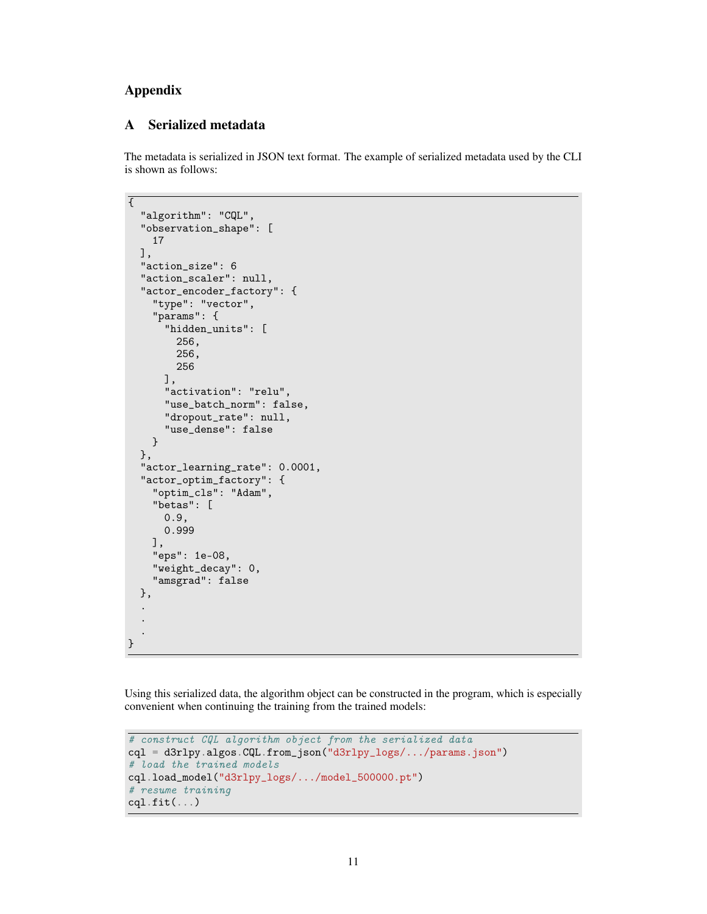## Appendix

#### <span id="page-10-0"></span>A Serialized metadata

The metadata is serialized in JSON text format. The example of serialized metadata used by the CLI is shown as follows:

```
\overline{\mathcal{E}}"algorithm": "CQL",
  "observation_shape": [
    17
  ],
  "action_size": 6
  "action_scaler": null,
  "actor_encoder_factory": {
    "type": "vector",
    "params": {
      "hidden_units": [
        256,
        256,
        256
      ],
      "activation": "relu",
      "use_batch_norm": false,
      "dropout_rate": null,
      "use_dense": false
    }
  },
  "actor_learning_rate": 0.0001,
  "actor_optim_factory": {
    "optim_cls": "Adam",
    "betas": [
      0.9,
      0.999
    ],
    "eps": 1e-08,
    "weight_decay": 0,
    "amsgrad": false
  },
  .
  .
  .
}
```
Using this serialized data, the algorithm object can be constructed in the program, which is especially convenient when continuing the training from the trained models:

```
# construct CQL algorithm object from the serialized data
cql = d3rlpy.algos.CQL.from_json("d3rlpy_logs/.../params.json")
# load the trained models
cql.load_model("d3rlpy_logs/.../model_500000.pt")
# resume training
cql.fit(...)
```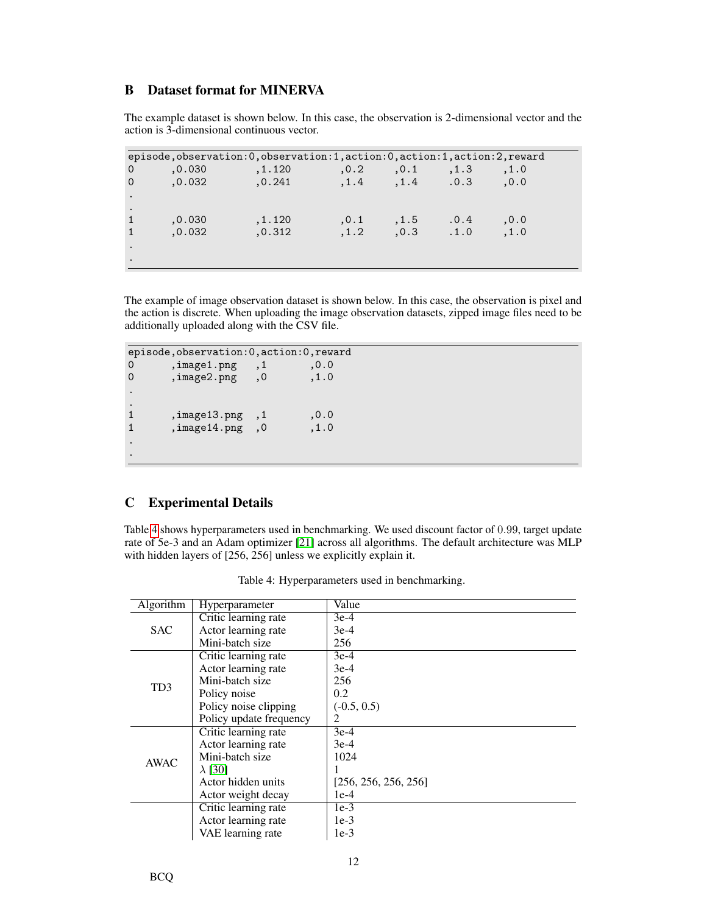## <span id="page-11-0"></span>B Dataset format for MINERVA

The example dataset is shown below. In this case, the observation is 2-dimensional vector and the action is 3-dimensional continuous vector.

|                      |         | episode, observation: 0, observation: 1, action: 0, action: 1, action: 2, reward |               |                      |     |       |  |
|----------------------|---------|----------------------------------------------------------------------------------|---------------|----------------------|-----|-------|--|
| $\overline{0}$       | , 0.030 | , 1.120                                                                          | $\ldots$ .0.2 | ,0.1, 1.3            |     | , 1.0 |  |
| $\Omega$             | 0.032   | , 0.241                                                                          |               | $,1.4$ $,1.4$ $.0.3$ |     | 0.0.  |  |
| $\ddot{\phantom{1}}$ |         |                                                                                  |               |                      |     |       |  |
|                      |         |                                                                                  |               |                      |     |       |  |
|                      | , 0.030 | , 1.120                                                                          | 0.1           | , 1.5                | 0.4 | 0.0   |  |
| $\mathbf{1}$         | .0.032  | , 0.312                                                                          | .1.2          | $,0.3$ $,1.0$        |     | , 1.0 |  |
|                      |         |                                                                                  |               |                      |     |       |  |
|                      |         |                                                                                  |               |                      |     |       |  |

The example of image observation dataset is shown below. In this case, the observation is pixel and the action is discrete. When uploading the image observation datasets, zipped image files need to be additionally uploaded along with the CSV file.

```
episode,observation:0,action:0,reward<br>0 .jmage1.png .1 0.0
          0.0 ,image1.png<br>0 ,image2.png ,0 ,1.0
0 ,image2.png
.
\frac{1}{1}1 ,image13.png ,1 ,0.0<br>1 ,image14.png ,0 ,1.0
          , image14.png, 0.
.
```
## <span id="page-11-1"></span>C Experimental Details

<span id="page-11-2"></span>Table [4](#page-11-2) shows hyperparameters used in benchmarking. We used discount factor of 0.99, target update rate of 5e-3 and an Adam optimizer [\[21\]](#page-9-19) across all algorithms. The default architecture was MLP with hidden layers of [256, 256] unless we explicitly explain it.

| Algorithm   | Hyperparameter          | Value                |
|-------------|-------------------------|----------------------|
|             | Critic learning rate    | $3e-4$               |
| <b>SAC</b>  | Actor learning rate     | $3e-4$               |
|             | Mini-batch size         | 256                  |
|             | Critic learning rate    | $3e-4$               |
|             | Actor learning rate     | $3e-4$               |
| TD3         | Mini-batch size         | 256                  |
|             | Policy noise            | 0.2                  |
|             | Policy noise clipping   | $(-0.5, 0.5)$        |
|             | Policy update frequency | $\overline{2}$       |
|             | Critic learning rate    | $3e-4$               |
|             | Actor learning rate     | $3e-4$               |
| <b>AWAC</b> | Mini-batch size         | 1024                 |
|             | $\lambda$ [30]          |                      |
|             | Actor hidden units      | [256, 256, 256, 256] |
|             | Actor weight decay      | $1e-4$               |
|             | Critic learning rate    | $1e-3$               |
|             | Actor learning rate     | $1e-3$               |
|             | VAE learning rate       | $1e-3$               |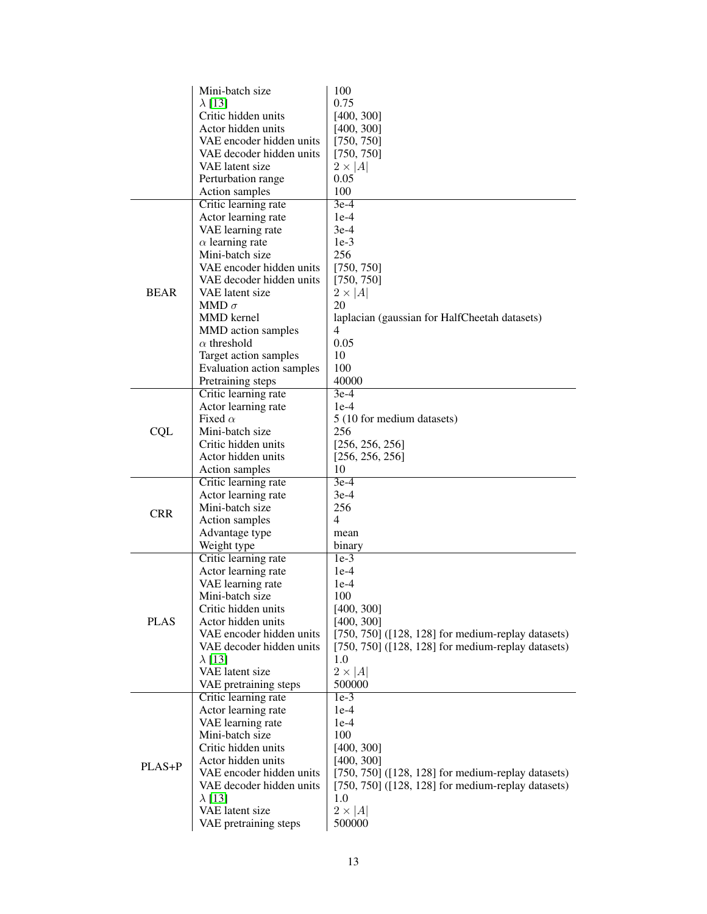|             | Mini-batch size                        | 100                                                     |
|-------------|----------------------------------------|---------------------------------------------------------|
|             | $\lambda$ [13]                         | 0.75                                                    |
|             | Critic hidden units                    | [400, 300]                                              |
|             | Actor hidden units                     | [400, 300]                                              |
|             | VAE encoder hidden units               | [750, 750]                                              |
|             | VAE decoder hidden units               | [750, 750]                                              |
|             | VAE latent size                        | $2 \times  A $                                          |
|             |                                        | 0.05                                                    |
|             | Perturbation range                     |                                                         |
|             | Action samples                         | 100                                                     |
|             | Critic learning rate                   | $3e-4$                                                  |
|             | Actor learning rate                    | $1e-4$                                                  |
|             | VAE learning rate                      | $3e-4$                                                  |
|             | $\alpha$ learning rate                 | $1e-3$                                                  |
|             | Mini-batch size                        | 256                                                     |
|             | VAE encoder hidden units               | [750, 750]                                              |
|             | VAE decoder hidden units               | [750, 750]                                              |
| <b>BEAR</b> | VAE latent size                        | $2 \times  A $                                          |
|             | MMD $\sigma$                           | 20                                                      |
|             | <b>MMD</b> kernel                      | laplacian (gaussian for HalfCheetah datasets)           |
|             | MMD action samples                     | 4                                                       |
|             | $\alpha$ threshold                     | 0.05                                                    |
|             | Target action samples                  | 10                                                      |
|             | Evaluation action samples              | 100                                                     |
|             | Pretraining steps                      | 40000                                                   |
|             | Critic learning rate                   | $3e-4$                                                  |
|             | Actor learning rate                    | $1e-4$                                                  |
|             | Fixed $\alpha$                         | 5 (10 for medium datasets)                              |
| <b>CQL</b>  | Mini-batch size                        | 256                                                     |
|             | Critic hidden units                    | [256, 256, 256]                                         |
|             | Actor hidden units                     | [256, 256, 256]                                         |
|             | Action samples                         | 10                                                      |
|             | Critic learning rate                   | $3e-4$                                                  |
|             |                                        | 3e-4                                                    |
|             | Actor learning rate<br>Mini-batch size |                                                         |
| <b>CRR</b>  |                                        | 256<br>4                                                |
|             | Action samples                         |                                                         |
|             | Advantage type                         | mean                                                    |
|             | Weight type                            | binary                                                  |
|             | Critic learning rate                   | $1e-3$                                                  |
|             | Actor learning rate                    | $1e-4$                                                  |
|             | VAE learning rate                      | $1e-4$                                                  |
|             | Mini-batch size                        | 100                                                     |
|             | Critic hidden units                    | [400, 300]                                              |
| <b>PLAS</b> | Actor hidden units                     | [400, 300]                                              |
|             | VAE encoder hidden units               | $[750, 750]$ ( $[128, 128]$ for medium-replay datasets) |
|             | VAE decoder hidden units               | $[750, 750]$ ( $[128, 128]$ for medium-replay datasets) |
|             | $\lambda$ [13]                         | 1.0                                                     |
|             | VAE latent size                        | $2 \times  A $                                          |
|             | VAE pretraining steps                  | 500000                                                  |
|             | Critic learning rate                   | $1e-3$                                                  |
|             | Actor learning rate                    | $1e-4$                                                  |
|             | VAE learning rate                      | $1e-4$                                                  |
|             | Mini-batch size                        | 100                                                     |
|             | Critic hidden units                    | [400, 300]                                              |
|             | Actor hidden units                     | [400, 300]                                              |
| PLAS+P      | VAE encoder hidden units               | $[750, 750]$ ([128, 128] for medium-replay datasets)    |
|             | VAE decoder hidden units               | $[750, 750]$ ( $[128, 128]$ for medium-replay datasets) |
|             | $\lambda$ [13]                         | 1.0                                                     |
|             | VAE latent size                        | $2 \times  A $                                          |
|             | VAE pretraining steps                  | 500000                                                  |
|             |                                        |                                                         |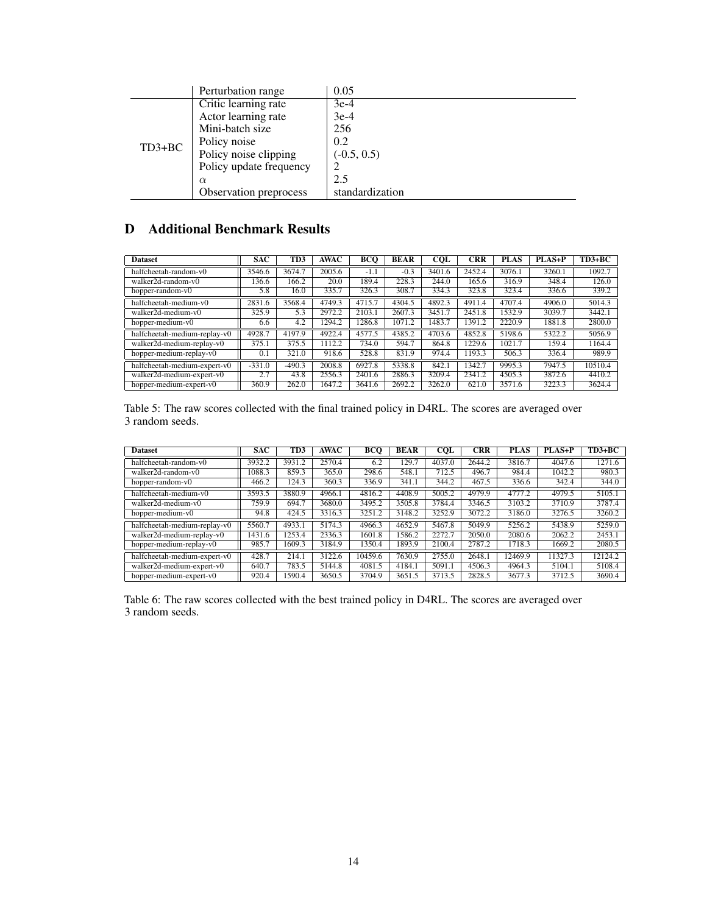|          | Perturbation range      | 0.05            |
|----------|-------------------------|-----------------|
|          | Critic learning rate    | $3e-4$          |
|          | Actor learning rate     | $3e-4$          |
|          | Mini-batch size         | 256             |
|          | Policy noise            | 0.2             |
| $TD3+BC$ | Policy noise clipping   | $(-0.5, 0.5)$   |
|          | Policy update frequency |                 |
|          | $\alpha$                | 2.5             |
|          | Observation preprocess  | standardization |

## <span id="page-13-0"></span>D Additional Benchmark Results

| <b>Dataset</b>               | <b>SAC</b> | TD3      | <b>AWAC</b> | BCO    | <b>BEAR</b> | <b>COL</b> | <b>CRR</b> | <b>PLAS</b> | <b>PLAS+P</b> | $TD3+BC$ |
|------------------------------|------------|----------|-------------|--------|-------------|------------|------------|-------------|---------------|----------|
| halfcheetah-random-y0        | 3546.6     | 3674.7   | 2005.6      | $-1.1$ | $-0.3$      | 3401.6     | 2452.4     | 3076.1      | 3260.1        | 1092.7   |
| walker2d-random-v0           | 136.6      | 166.2    | 20.0        | 189.4  | 228.3       | 244.0      | 165.6      | 316.9       | 348.4         | 126.0    |
| hopper-random-v0             | 5.8        | 16.0     | 335.7       | 326.3  | 308.7       | 334.3      | 323.8      | 323.4       | 336.6         | 339.2    |
| halfcheetah-medium-v0        | 2831.6     | 3568.4   | 4749.3      | 4715.7 | 4304.5      | 4892.3     | 4911.4     | 4707.4      | 4906.0        | 5014.3   |
| walker2d-medium-y0           | 325.9      | 5.3      | 2972.2      | 2103.1 | 2607.3      | 3451.7     | 2451.8     | 1532.9      | 3039.7        | 3442.1   |
| hopper-medium-v0             | 6.6        | 4.2      | 1294.2      | 286.8  | 1071.2      | 1483.7     | 1391.2     | 2220.9      | 1881.8        | 2800.0   |
| halfcheetah-medium-replay-v0 | 4928.7     | 4197.9   | 4922.4      | 4577.5 | 4385.2      | 4703.6     | 4852.8     | 5198.6      | 5322.2        | 5056.9   |
| walker2d-medium-replay-v0    | 375.1      | 375.5    | 1112.2      | 734.0  | 594.7       | 864.8      | 1229.6     | 1021.7      | 159.4         | 1164.4   |
| hopper-medium-replay-v0      | 0.1        | 321.0    | 918.6       | 528.8  | 831.9       | 974.4      | 1193.3     | 506.3       | 336.4         | 989.9    |
| halfcheetah-medium-expert-v0 | $-331.0$   | $-490.3$ | 2008.8      | 6927.8 | 5338.8      | 842.1      | 1342.7     | 9995.3      | 7947.5        | 10510.4  |
| walker2d-medium-expert-v0    | 2.7        | 43.8     | 2556.3      | 2401.6 | 2886.3      | 3209.4     | 2341.2     | 4505.3      | 3872.6        | 4410.2   |
| hopper-medium-expert-v0      | 360.9      | 262.0    | 1647.2      | 3641.6 | 2692.2      | 3262.0     | 621.0      | 3571.6      | 3223.3        | 3624.4   |

Table 5: The raw scores collected with the final trained policy in D4RL. The scores are averaged over 3 random seeds.

| <b>Dataset</b>               | <b>SAC</b> | TD3    | AWAC   | BCO     | <b>BEAR</b> | $\overline{\text{COL}}$ | CRR    | <b>PLAS</b> | <b>PLAS+P</b> | $TD3+BC$ |
|------------------------------|------------|--------|--------|---------|-------------|-------------------------|--------|-------------|---------------|----------|
| halfcheetah-random-y0        | 3932.2     | 3931.2 | 2570.4 | 6.2     | 129.7       | 4037.0                  | 2644.2 | 3816.7      | 4047.6        | 1271.6   |
| $walker2d-random-v()$        | 1088.3     | 859.3  | 365.0  | 298.6   | 548.1       | 712.5                   | 496.7  | 984.4       | 1042.2        | 980.3    |
| hopper-random-v0             | 466.2      | 124.3  | 360.3  | 336.9   | 341.1       | 344.2                   | 467.5  | 336.6       | 342.4         | 344.0    |
| halfcheetah-medium-v0        | 3593.5     | 3880.9 | 4966.1 | 4816.2  | 4408.9      | 5005.2                  | 4979.9 | 4777.2      | 4979.5        | 5105.1   |
| walker2d-medium-y0           | 759.9      | 694.7  | 3680.0 | 3495.2  | 3505.8      | 3784.4                  | 3346.5 | 3103.2      | 3710.9        | 3787.4   |
| hopper-medium-v0             | 94.8       | 424.5  | 3316.3 | 3251.2  | 3148.2      | 3252.9                  | 3072.2 | 3186.0      | 3276.5        | 3260.2   |
| halfcheetah-medium-replay-v0 | 5560.7     | 4933.1 | 5174.3 | 4966.3  | 4652.9      | 5467.8                  | 5049.9 | 5256.2      | 5438.9        | 5259.0   |
| walker2d-medium-replay-v0    | 1431.6     | 1253.4 | 2336.3 | 1601.8  | 1586.2      | 2272.7                  | 2050.0 | 2080.6      | 2062.2        | 2453.1   |
| hopper-medium-replay-v0      | 985.7      | 1609.3 | 3184.9 | 1350.4  | 1893.9      | 2100.4                  | 2787.2 | 1718.3      | 1669.2        | 2080.5   |
| halfcheetah-medium-expert-v0 | 428.7      | 214.1  | 3122.6 | 10459.6 | 7630.9      | 2755.0                  | 2648.1 | 12469.9     | 11327.3       | 12124.2  |
| walker2d-medium-expert-v0    | 640.7      | 783.5  | 5144.8 | 4081.5  | 4184.1      | 5091.1                  | 4506.3 | 4964.3      | 5104.1        | 5108.4   |
| hopper-medium-expert-v0      | 920.4      | 1590.4 | 3650.5 | 3704.9  | 3651.5      | 3713.5                  | 2828.5 | 3677.3      | 3712.5        | 3690.4   |

Table 6: The raw scores collected with the best trained policy in D4RL. The scores are averaged over 3 random seeds.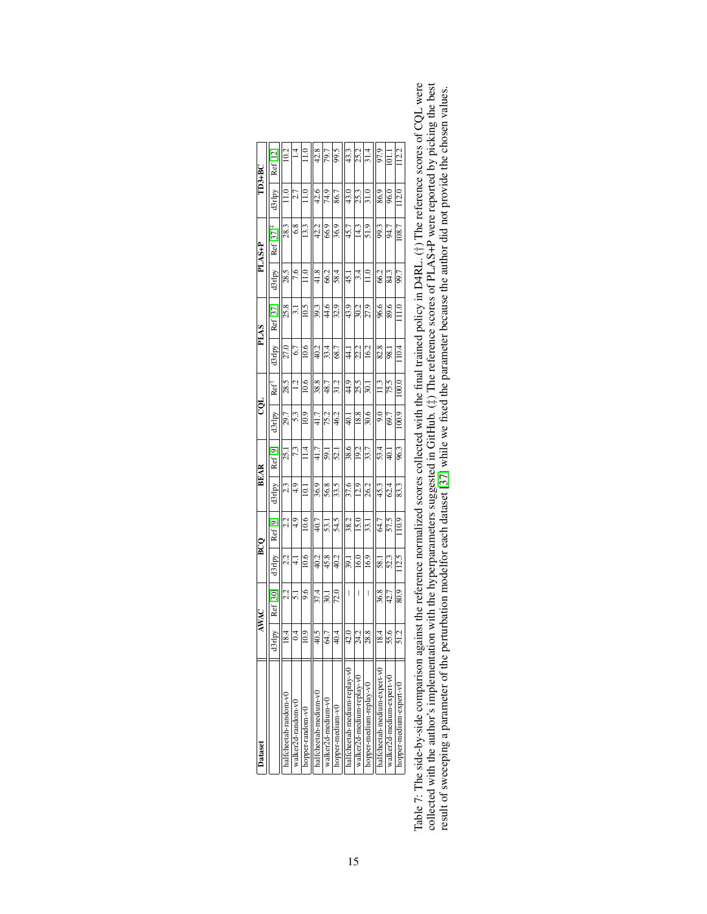| Dataset                      |              | <b>AWAC</b>       |                 | BCQ      | <b>BEAR</b>    |                    | CQL            |                  |                | PLAS     |         | PLAS+P                  |                       | $TD3+BC$ |
|------------------------------|--------------|-------------------|-----------------|----------|----------------|--------------------|----------------|------------------|----------------|----------|---------|-------------------------|-----------------------|----------|
|                              | <b>Arlpy</b> | Ref[30]           | d3rlpy          | Ref [9]  | d3rlpy         | Ref <sub>[9]</sub> | d3rlpy         | Ref              | d3rlpy         | Ref [37] | d3rlpy  | $Ref [37]$ <sup>+</sup> | d3rlpy                | Ref [12] |
| naltcheetah-random-v0        | 18.4         | 2.2               | 2.2             | 22       | 23             | 25.1               | 29.7           | 28.5             | 27.0           | 25.8     | 28.5    | 28.3                    | $\stackrel{\circ}{=}$ | 10.2     |
| walker2d-random-v0           | 0.4          | $\overline{51}$   | $\vec{+}$       | $^{4.9}$ | $^{4.9}$       | 7.3                | 5.3            | $\overline{51}$  | 6.7            | $\Xi$    | 7.6     | $\frac{8}{6}$           | 2.7                   |          |
| hopper-random-v0             | 10.9         | 9.6               | 10.6            | 10.6     | $\overline{0}$ | $\frac{4}{1}$      | 10.9           | 10.6             | 10.6           | 10.5     | $\Xi$   | 13.3                    | $\frac{1}{2}$         |          |
| nalfcheetah-medium-v(        | 40.5         | 37.4              | 40.2            | 40.7     | 36.9           | 41.7               | 41.7           | 38.8             | 40.2           | 39.3     | 41.8    | 42.2                    | 42.6                  | 42.8     |
| walker2d-medium-v0           | 64.7         | 30.1              | 45.8            | 53.1     | 56.8           | 59.1               | 75.2           | 48.7             | 33.4           | 44.6     | 66.2    | 66.9                    | 74.9                  | 79.7     |
| 1000er-medium-v0             | 40.4         | $\overline{72.0}$ | 40.2            | 54.5     | 33.5           | 52.1               | 46.2           | 31.2             | 68.7           | 32.9     | 58.4    | 36.9                    | 86.7                  | 9.5      |
| halfcheetah-medium-replay-v0 | 42.0         | I                 | $-39.1$         | 38.2     | 37.6           | 38.6               | $\overline{1}$ | 44.9             | न<br>न         | 43.9     | $-15.1$ | 45.7                    | 43.0                  | 43.3     |
| walker2d-medium-replay-v0    | 24.2         | I                 | 16.0            | 15.0     | 12.9           | 19.2               | 18.8           | 25.5             | 22.2           | 30.2     | 3.4     | 14.3                    | 25.3                  | 25.2     |
| 10pper-medium-replay-v0      | 28.8         | I                 | 16.9            | 33.I     | 26.2           | 33.7               | 30.6           | 30.1             | 16.2           | 27.9     |         | 51.9                    | $\frac{31.0}{2}$      | 31.4     |
| halfcheetah-medium-expert-v0 | 18.4         | 36.8              | $\overline{58}$ | 64.7     | 45.3           | 53.4               | $^{0.6}$       | $\frac{13}{11}$  | 82.8           | 96.6     | 66.2    | 99.3                    | 86.9                  | 97.9     |
| walker2d-medium-expert-v0    | 55.6         | 42.7              | 52.3            | 57.5     | 62.4           | $\overline{40.1}$  | 69.7           | 75.5             | $\frac{8}{36}$ | 89.6     | 84.3    | 94.7                    | 96.0                  | $\Xi$    |
| hopper-medium-expert-v0      | 51.2         | 80.9              | 112.5           | 10.9     | 83.3           | 96.3               | 100.9          | $\overline{000}$ | 10.4           |          | 99.7    | 108.7                   | 112.0                 | 12.2     |
|                              |              |                   |                 |          |                |                    |                |                  |                |          |         |                         |                       |          |

Table 7: The side-by-side comparison against the reference normalized scores collected with the final trained policy in D4RL. (†) The reference scores of CQL were collected with the subsets of the hyperparameters suggeste Table 7: The side-by-side comparison against the reference normalized scores collected with the final trained policy in D4RL. (†) The reference scores of CQL were collected with the author's implementation with the hyperparameters suggested in GitHub. ( $\ddagger$ ) The reference scores of PLAS+P were reported by picking the best result of sweeeping a parameter of the perturbation modelfor each dataset [\[37\]](#page-9-13) while we fixed the parameter because the author did not provide the chosen values.